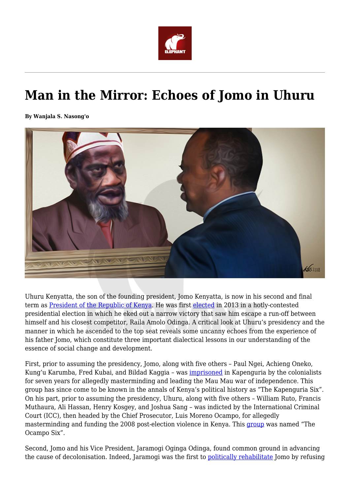

## **Man in the Mirror: Echoes of Jomo in Uhuru**

**By Wanjala S. Nasong'o**



Uhuru Kenyatta, the son of the founding president, Jomo Kenyatta, is now in his second and final term as **[President of the Republic of Kenya](https://en.wikipedia.org/wiki/Uhuru_Kenyatta/)**. He was first [elected](https://en.wikipedia.org/wiki/Uhuru_Kenyatta) in 2013 in a hotly-contested presidential election in which he eked out a narrow victory that saw him escape a run-off between himself and his closest competitor, Raila Amolo Odinga. A critical look at Uhuru's presidency and the manner in which he ascended to the top seat reveals some uncanny echoes from the experience of his father Jomo, which constitute three important dialectical lessons in our understanding of the essence of social change and development.

First, prior to assuming the presidency, Jomo, along with five others – Paul Ngei, Achieng Oneko, Kung'u Karumba, Fred Kubai, and Bildad Kaggia – was [imprisoned](https://en.wikipedia.org/wiki/Kapenguria_Six) in Kapenguria by the colonialists for seven years for allegedly masterminding and leading the Mau Mau war of independence. This group has since come to be known in the annals of Kenya's political history as "The Kapenguria Six". On his part, prior to assuming the presidency, Uhuru, along with five others – William Ruto, Francis Muthaura, Ali Hassan, Henry Kosgey, and Joshua Sang – was indicted by the International Criminal Court (ICC), then headed by the Chief Prosecutor, Luis Moreno Ocampo, for allegedly masterminding and funding the 2008 post-election violence in Kenya. This [group](https://www.sde.co.ke/thenairobian/article/2000204693/the-ocampo-six-list-turned-my-life-upside-down-joshua-arap-sang) was named "The Ocampo Six".

Second, Jomo and his Vice President, Jaramogi Oginga Odinga, found common ground in advancing the cause of decolonisation. Indeed, Jaramogi was the first to [politically rehabilitate](https://www.amazon.com/Kenya-Between-Hope-Despair-1963-2011/dp/0300148763) Jomo by refusing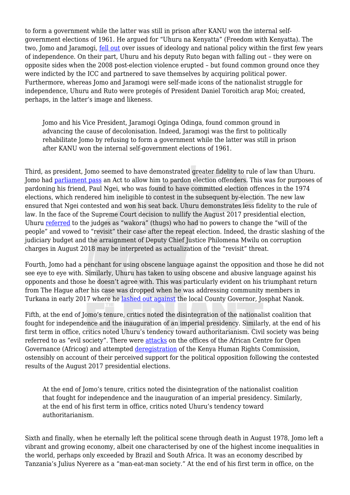to form a government while the latter was still in prison after KANU won the internal selfgovernment elections of 1961. He argued for "Uhuru na Kenyatta" (Freedom with Kenyatta). The two, Jomo and Jaramogi, [fell out](https://www.amazon.com/Not-Yet-Uhuru-Autobiography-Oginga/dp/0435900382) over issues of ideology and national policy within the first few years of independence. On their part, Uhuru and his deputy Ruto began with falling out – they were on opposite sides when the 2008 post-election violence erupted – but found common ground once they were indicted by the ICC and partnered to save themselves by acquiring political power. Furthermore, whereas Jomo and Jaramogi were self-made icons of the nationalist struggle for independence, Uhuru and Ruto were protegés of President Daniel Toroitich arap Moi; created, perhaps, in the latter's image and likeness.

Jomo and his Vice President, Jaramogi Oginga Odinga, found common ground in advancing the cause of decolonisation. Indeed, Jaramogi was the first to politically rehabilitate Jomo by refusing to form a government while the latter was still in prison after KANU won the internal self-government elections of 1961.

Third, as president, Jomo seemed to have demonstrated greater fidelity to rule of law than Uhuru. Jomo had [parliament pass](https://www.standardmedia.co.ke/article/2000098748/how-kenya-s-constitution-was-mutilated-for-selfish-gains) an Act to allow him to pardon election offenders. This was for purposes of pardoning his friend, Paul Ngei, who was found to have committed election offences in the 1974 elections, which rendered him ineligible to contest in the subsequent by-election. The new law ensured that Ngei contested and won his seat back. Uhuru demonstrates less fidelity to the rule of law. In the face of the Supreme Court decision to nullify the August 2017 presidential election, Uhuru [referred](https://news.africa/2017/10/30/page/2/) to the judges as "wakora" (thugs) who had no powers to change the "will of the people" and vowed to "revisit" their case after the repeat election. Indeed, the drastic slashing of the judiciary budget and the arraignment of Deputy Chief Justice Philomena Mwilu on corruption charges in August 2018 may be interpreted as actualization of the "revisit" threat.

Fourth, Jomo had a penchant for using obscene language against the opposition and those he did not see eye to eye with. Similarly, Uhuru has taken to using obscene and abusive language against his opponents and those he doesn't agree with. This was particularly evident on his triumphant return from The Hague after his case was dropped when he was addressing community members in Turkana in early 2017 where he [lashed out against](https://www.youtube.com/watch?v=61DocBXfFVk) the local County Governor, Josphat Nanok.

Fifth, at the end of Jomo's tenure, critics noted the disintegration of the nationalist coalition that fought for independence and the inauguration of an imperial presidency. Similarly, at the end of his first term in office, critics noted Uhuru's tendency toward authoritarianism. Civil society was being referred to as "evil society". There were [attacks](https://www.standardmedia.co.ke/article/2001251911/attack-on-civil-society-is-a-bad-sign-for-the-future-of-democracy-in-kenya) on the offices of the African Centre for Open Governance (Africog) and attempted [deregistration](https://www.standardmedia.co.ke/article/2001251911/attack-on-civil-society-is-a-bad-sign-for-the-future-of-democracy-in-kenya) of the Kenya Human Rights Commission, ostensibly on account of their perceived support for the political opposition following the contested results of the August 2017 presidential elections.

At the end of Jomo's tenure, critics noted the disintegration of the nationalist coalition that fought for independence and the inauguration of an imperial presidency. Similarly, at the end of his first term in office, critics noted Uhuru's tendency toward authoritarianism.

Sixth and finally, when he eternally left the political scene through death in August 1978, Jomo left a vibrant and growing economy, albeit one characterised by one of the highest income inequalities in the world, perhaps only exceeded by Brazil and South Africa. It was an economy described by Tanzania's Julius Nyerere as a "man-eat-man society." At the end of his first term in office, on the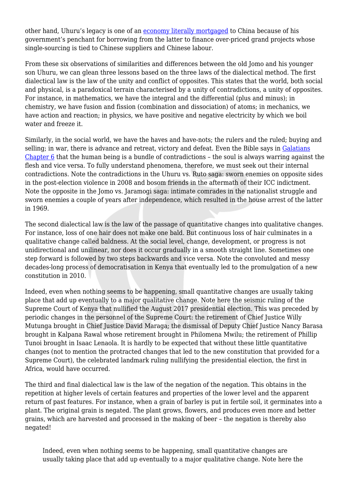other hand, Uhuru's legacy is one of an [economy literally mortgaged](https://www.theeastafricanreview.info/op-eds/2018/04/14/greed-and-delusions-of-grandeur-a-primer-on-dystopian-economics/) to China because of his government's penchant for borrowing from the latter to finance over-priced grand projects whose single-sourcing is tied to Chinese suppliers and Chinese labour.

From these six observations of similarities and differences between the old Jomo and his younger son Uhuru, we can glean three lessons based on the three laws of the dialectical method. The first dialectical law is the law of the unity and conflict of opposites. This states that the world, both social and physical, is a paradoxical terrain characterised by a unity of contradictions, a unity of opposites. For instance, in mathematics, we have the integral and the differential (plus and minus); in chemistry, we have fusion and fission (combination and dissociation) of atoms; in mechanics, we have action and reaction; in physics, we have positive and negative electricity by which we boil water and freeze it.

Similarly, in the social world, we have the haves and have-nots; the rulers and the ruled; buying and selling; in war, there is advance and retreat, victory and defeat. Even the Bible says in [Galatians](https://www.biblegateway.com/passage/?search=Galatians+6&version=NIV) [Chapter 6](https://www.biblegateway.com/passage/?search=Galatians+6&version=NIV) that the human being is a bundle of contradictions – the soul is always warring against the flesh and vice versa. To fully understand phenomena, therefore, we must seek out their internal contradictions. Note the contradictions in the Uhuru vs. Ruto saga: sworn enemies on opposite sides in the post-election violence in 2008 and bosom friends in the aftermath of their ICC indictment. Note the opposite in the Jomo vs. Jaramogi saga: intimate comrades in the nationalist struggle and sworn enemies a couple of years after independence, which resulted in the house arrest of the latter in 1969.

The second dialectical law is the law of the passage of quantitative changes into qualitative changes. For instance, loss of one hair does not make one bald. But continuous loss of hair culminates in a qualitative change called baldness. At the social level, change, development, or progress is not unidirectional and unilinear, nor does it occur gradually in a smooth straight line. Sometimes one step forward is followed by two steps backwards and vice versa. Note the convoluted and messy decades-long process of democratisation in Kenya that eventually led to the promulgation of a new constitution in 2010.

Indeed, even when nothing seems to be happening, small quantitative changes are usually taking place that add up eventually to a major qualitative change. Note here the seismic ruling of the Supreme Court of Kenya that nullified the August 2017 presidential election. This was preceded by periodic changes in the personnel of the Supreme Court: the retirement of Chief Justice Willy Mutunga brought in Chief Justice David Maraga; the dismissal of Deputy Chief Justice Nancy Barasa brought in Kalpana Rawal whose retirement brought in Philomena Mwilu; the retirement of Phillip Tunoi brought in Isaac Lenaola. It is hardly to be expected that without these little quantitative changes (not to mention the protracted changes that led to the new constitution that provided for a Supreme Court), the celebrated landmark ruling nullifying the presidential election, the first in Africa, would have occurred.

The third and final dialectical law is the law of the negation of the negation. This obtains in the repetition at higher levels of certain features and properties of the lower level and the apparent return of past features. For instance, when a grain of barley is put in fertile soil, it germinates into a plant. The original grain is negated. The plant grows, flowers, and produces even more and better grains, which are harvested and processed in the making of beer – the negation is thereby also negated!

Indeed, even when nothing seems to be happening, small quantitative changes are usually taking place that add up eventually to a major qualitative change. Note here the